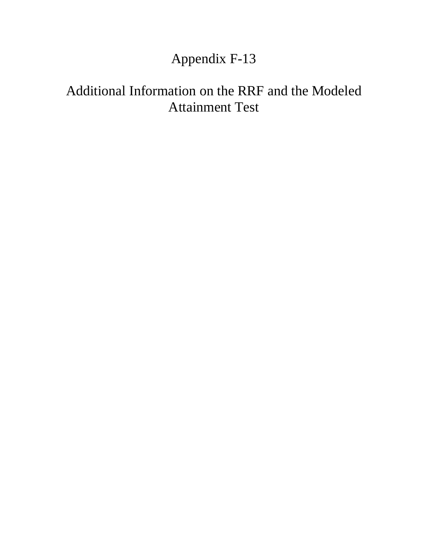# Appendix F-13

# Additional Information on the RRF and the Modeled Attainment Test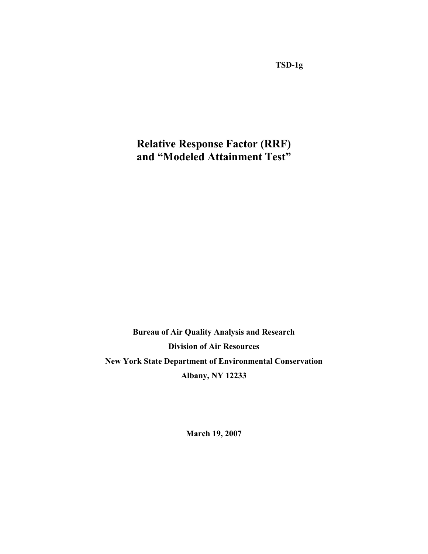**Relative Response Factor (RRF) and "Modeled Attainment Test"** 

**Bureau of Air Quality Analysis and Research Division of Air Resources New York State Department of Environmental Conservation Albany, NY 12233** 

**March 19, 2007**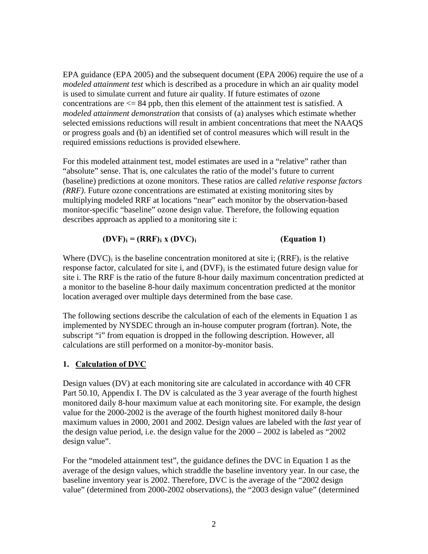EPA guidance (EPA 2005) and the subsequent document (EPA 2006) require the use of a *modeled attainment test* which is described as a procedure in which an air quality model is used to simulate current and future air quality. If future estimates of ozone concentrations are  $\leq$  84 ppb, then this element of the attainment test is satisfied. A *modeled attainment demonstration* that consists of (a) analyses which estimate whether selected emissions reductions will result in ambient concentrations that meet the NAAQS or progress goals and (b) an identified set of control measures which will result in the required emissions reductions is provided elsewhere.

For this modeled attainment test, model estimates are used in a "relative" rather than "absolute" sense. That is, one calculates the ratio of the model's future to current (baseline) predictions at ozone monitors. These ratios are called *relative response factors (RRF)*. Future ozone concentrations are estimated at existing monitoring sites by multiplying modeled RRF at locations "near" each monitor by the observation-based monitor-specific "baseline" ozone design value. Therefore, the following equation describes approach as applied to a monitoring site i:

# $(DVF)_i = (RRF)_i X (DVC)_i$  (Equation 1)

Where  $(DVC)$ <sub>i</sub> is the baseline concentration monitored at site i;  $(RRF)$ <sub>i</sub> is the relative response factor, calculated for site i, and  $(DVF)$  is the estimated future design value for site i. The RRF is the ratio of the future 8-hour daily maximum concentration predicted at a monitor to the baseline 8-hour daily maximum concentration predicted at the monitor location averaged over multiple days determined from the base case.

The following sections describe the calculation of each of the elements in Equation 1 as implemented by NYSDEC through an in-house computer program (fortran). Note, the subscript "i" from equation is dropped in the following description. However, all calculations are still performed on a monitor-by-monitor basis.

# **1. Calculation of DVC**

Design values (DV) at each monitoring site are calculated in accordance with 40 CFR Part 50.10, Appendix I. The DV is calculated as the 3 year average of the fourth highest monitored daily 8-hour maximum value at each monitoring site. For example, the design value for the 2000-2002 is the average of the fourth highest monitored daily 8-hour maximum values in 2000, 2001 and 2002. Design values are labeled with the *last* year of the design value period, i.e. the design value for the 2000 – 2002 is labeled as "2002 design value".

For the "modeled attainment test", the guidance defines the DVC in Equation 1 as the average of the design values, which straddle the baseline inventory year. In our case, the baseline inventory year is 2002. Therefore, DVC is the average of the "2002 design value" (determined from 2000-2002 observations), the "2003 design value" (determined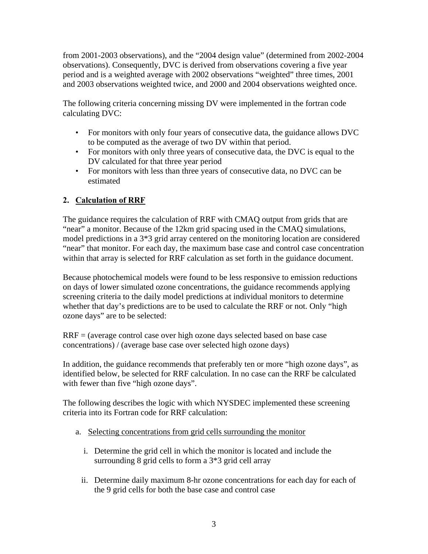from 2001-2003 observations), and the "2004 design value" (determined from 2002-2004 observations). Consequently, DVC is derived from observations covering a five year period and is a weighted average with 2002 observations "weighted" three times, 2001 and 2003 observations weighted twice, and 2000 and 2004 observations weighted once.

The following criteria concerning missing DV were implemented in the fortran code calculating DVC:

- For monitors with only four years of consecutive data, the guidance allows DVC to be computed as the average of two DV within that period.
- For monitors with only three years of consecutive data, the DVC is equal to the DV calculated for that three year period
- For monitors with less than three years of consecutive data, no DVC can be estimated

# **2. Calculation of RRF**

The guidance requires the calculation of RRF with CMAQ output from grids that are "near" a monitor. Because of the 12km grid spacing used in the CMAQ simulations, model predictions in a 3\*3 grid array centered on the monitoring location are considered "near" that monitor. For each day, the maximum base case and control case concentration within that array is selected for RRF calculation as set forth in the guidance document.

Because photochemical models were found to be less responsive to emission reductions on days of lower simulated ozone concentrations, the guidance recommends applying screening criteria to the daily model predictions at individual monitors to determine whether that day's predictions are to be used to calculate the RRF or not. Only "high ozone days" are to be selected:

RRF = (average control case over high ozone days selected based on base case concentrations) / (average base case over selected high ozone days)

In addition, the guidance recommends that preferably ten or more "high ozone days", as identified below, be selected for RRF calculation. In no case can the RRF be calculated with fewer than five "high ozone days".

The following describes the logic with which NYSDEC implemented these screening criteria into its Fortran code for RRF calculation:

- a. Selecting concentrations from grid cells surrounding the monitor
	- i. Determine the grid cell in which the monitor is located and include the surrounding 8 grid cells to form a 3\*3 grid cell array
	- ii. Determine daily maximum 8-hr ozone concentrations for each day for each of the 9 grid cells for both the base case and control case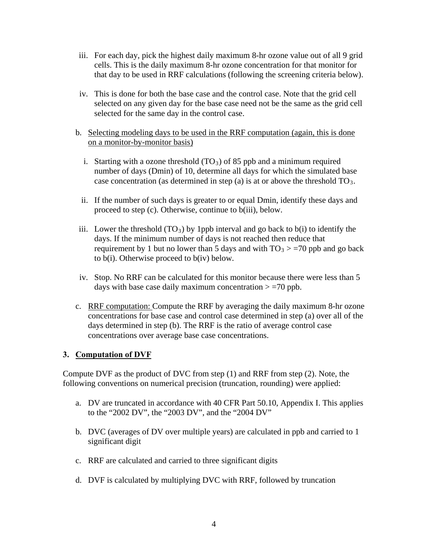- iii. For each day, pick the highest daily maximum 8-hr ozone value out of all 9 grid cells. This is the daily maximum 8-hr ozone concentration for that monitor for that day to be used in RRF calculations (following the screening criteria below).
- iv. This is done for both the base case and the control case. Note that the grid cell selected on any given day for the base case need not be the same as the grid cell selected for the same day in the control case.

#### b. Selecting modeling days to be used in the RRF computation (again, this is done on a monitor-by-monitor basis)

- i. Starting with a ozone threshold  $(TO_3)$  of 85 ppb and a minimum required number of days (Dmin) of 10, determine all days for which the simulated base case concentration (as determined in step (a) is at or above the threshold  $TO<sub>3</sub>$ .
- ii. If the number of such days is greater to or equal Dmin, identify these days and proceed to step (c). Otherwise, continue to b(iii), below.
- iii. Lower the threshold  $(TO_3)$  by 1ppb interval and go back to b(i) to identify the days. If the minimum number of days is not reached then reduce that requirement by 1 but no lower than 5 days and with  $TO_3 > =70$  ppb and go back to b(i). Otherwise proceed to b(iv) below.
- iv. Stop. No RRF can be calculated for this monitor because there were less than 5 days with base case daily maximum concentration  $> = 70$  ppb.
- c. RRF computation: Compute the RRF by averaging the daily maximum 8-hr ozone concentrations for base case and control case determined in step (a) over all of the days determined in step (b). The RRF is the ratio of average control case concentrations over average base case concentrations.

# **3. Computation of DVF**

Compute DVF as the product of DVC from step (1) and RRF from step (2). Note, the following conventions on numerical precision (truncation, rounding) were applied:

- a. DV are truncated in accordance with 40 CFR Part 50.10, Appendix I. This applies to the "2002 DV", the "2003 DV", and the "2004 DV"
- b. DVC (averages of DV over multiple years) are calculated in ppb and carried to 1 significant digit
- c. RRF are calculated and carried to three significant digits
- d. DVF is calculated by multiplying DVC with RRF, followed by truncation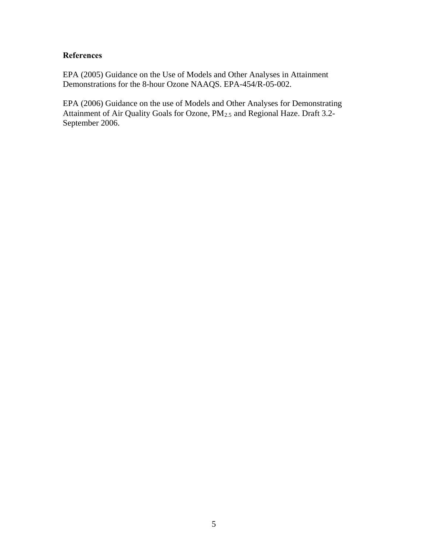# **References**

EPA (2005) Guidance on the Use of Models and Other Analyses in Attainment Demonstrations for the 8-hour Ozone NAAQS. EPA-454/R-05-002.

EPA (2006) Guidance on the use of Models and Other Analyses for Demonstrating Attainment of Air Quality Goals for Ozone, PM2.5 and Regional Haze. Draft 3.2- September 2006.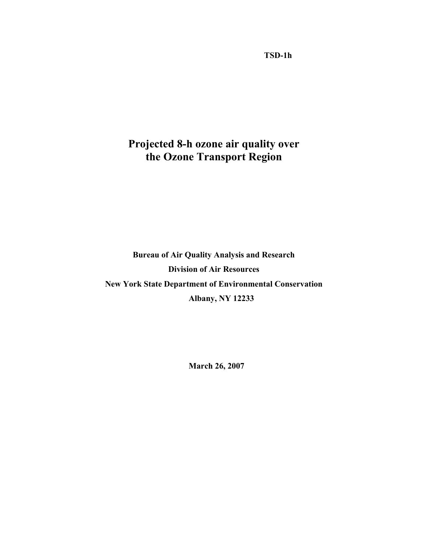**TSD-1h** 

# **Projected 8-h ozone air quality over the Ozone Transport Region**

**Bureau of Air Quality Analysis and Research Division of Air Resources New York State Department of Environmental Conservation Albany, NY 12233** 

**March 26, 2007**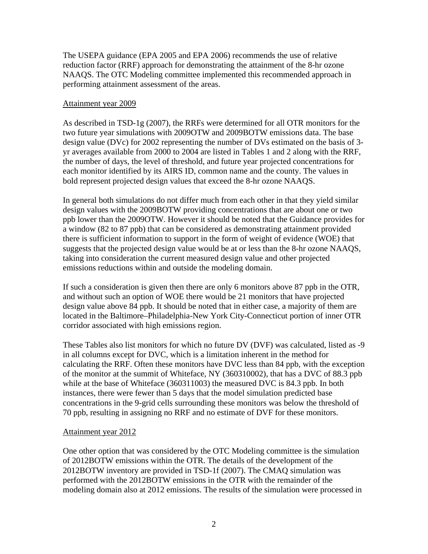The USEPA guidance (EPA 2005 and EPA 2006) recommends the use of relative reduction factor (RRF) approach for demonstrating the attainment of the 8-hr ozone NAAQS. The OTC Modeling committee implemented this recommended approach in performing attainment assessment of the areas.

#### Attainment year 2009

As described in TSD-1g (2007), the RRFs were determined for all OTR monitors for the two future year simulations with 2009OTW and 2009BOTW emissions data. The base design value (DVc) for 2002 representing the number of DVs estimated on the basis of 3 yr averages available from 2000 to 2004 are listed in Tables 1 and 2 along with the RRF, the number of days, the level of threshold, and future year projected concentrations for each monitor identified by its AIRS ID, common name and the county. The values in bold represent projected design values that exceed the 8-hr ozone NAAQS.

In general both simulations do not differ much from each other in that they yield similar design values with the 2009BOTW providing concentrations that are about one or two ppb lower than the 2009OTW. However it should be noted that the Guidance provides for a window (82 to 87 ppb) that can be considered as demonstrating attainment provided there is sufficient information to support in the form of weight of evidence (WOE) that suggests that the projected design value would be at or less than the 8-hr ozone NAAQS, taking into consideration the current measured design value and other projected emissions reductions within and outside the modeling domain.

If such a consideration is given then there are only 6 monitors above 87 ppb in the OTR, and without such an option of WOE there would be 21 monitors that have projected design value above 84 ppb. It should be noted that in either case, a majority of them are located in the Baltimore–Philadelphia-New York City-Connecticut portion of inner OTR corridor associated with high emissions region.

These Tables also list monitors for which no future DV (DVF) was calculated, listed as -9 in all columns except for DVC, which is a limitation inherent in the method for calculating the RRF. Often these monitors have DVC less than 84 ppb, with the exception of the monitor at the summit of Whiteface, NY (360310002), that has a DVC of 88.3 ppb while at the base of Whiteface (360311003) the measured DVC is 84.3 ppb. In both instances, there were fewer than 5 days that the model simulation predicted base concentrations in the 9-grid cells surrounding these monitors was below the threshold of 70 ppb, resulting in assigning no RRF and no estimate of DVF for these monitors.

#### Attainment year 2012

One other option that was considered by the OTC Modeling committee is the simulation of 2012BOTW emissions within the OTR. The details of the development of the 2012BOTW inventory are provided in TSD-1f (2007). The CMAQ simulation was performed with the 2012BOTW emissions in the OTR with the remainder of the modeling domain also at 2012 emissions. The results of the simulation were processed in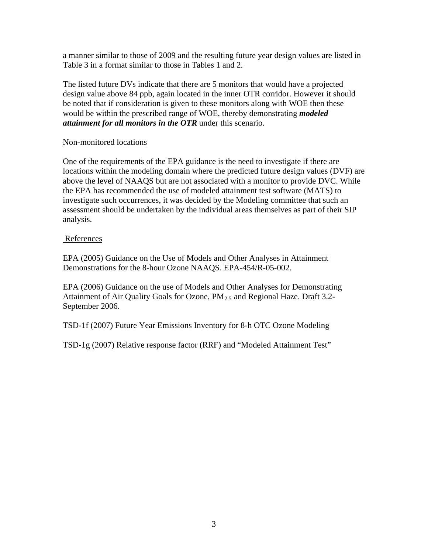a manner similar to those of 2009 and the resulting future year design values are listed in Table 3 in a format similar to those in Tables 1 and 2.

The listed future DVs indicate that there are 5 monitors that would have a projected design value above 84 ppb, again located in the inner OTR corridor. However it should be noted that if consideration is given to these monitors along with WOE then these would be within the prescribed range of WOE, thereby demonstrating *modeled attainment for all monitors in the OTR* under this scenario.

### Non-monitored locations

One of the requirements of the EPA guidance is the need to investigate if there are locations within the modeling domain where the predicted future design values (DVF) are above the level of NAAQS but are not associated with a monitor to provide DVC. While the EPA has recommended the use of modeled attainment test software (MATS) to investigate such occurrences, it was decided by the Modeling committee that such an assessment should be undertaken by the individual areas themselves as part of their SIP analysis.

### References

EPA (2005) Guidance on the Use of Models and Other Analyses in Attainment Demonstrations for the 8-hour Ozone NAAQS. EPA-454/R-05-002.

EPA (2006) Guidance on the use of Models and Other Analyses for Demonstrating Attainment of Air Quality Goals for Ozone,  $PM_{2.5}$  and Regional Haze. Draft 3.2-September 2006.

TSD-1f (2007) Future Year Emissions Inventory for 8-h OTC Ozone Modeling

TSD-1g (2007) Relative response factor (RRF) and "Modeled Attainment Test"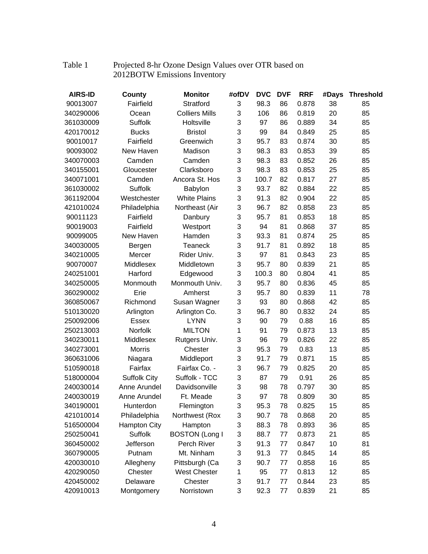#### Table 1 Projected 8-hr Ozone Design Values over OTR based on 2012BOTW Emissions Inventory

| <b>AIRS-ID</b> | <b>County</b>       | <b>Monitor</b>        | #ofDV | <b>DVC</b> | <b>DVF</b> | <b>RRF</b> | #Days | <b>Threshold</b> |
|----------------|---------------------|-----------------------|-------|------------|------------|------------|-------|------------------|
| 90013007       | Fairfield           | Stratford             | 3     | 98.3       | 86         | 0.878      | 38    | 85               |
| 340290006      | Ocean               | <b>Colliers Mills</b> | 3     | 106        | 86         | 0.819      | 20    | 85               |
| 361030009      | Suffolk             | Holtsville            | 3     | 97         | 86         | 0.889      | 34    | 85               |
| 420170012      | <b>Bucks</b>        | <b>Bristol</b>        | 3     | 99         | 84         | 0.849      | 25    | 85               |
| 90010017       | Fairfield           | Greenwich             | 3     | 95.7       | 83         | 0.874      | 30    | 85               |
| 90093002       | New Haven           | Madison               | 3     | 98.3       | 83         | 0.853      | 39    | 85               |
| 340070003      | Camden              | Camden                | 3     | 98.3       | 83         | 0.852      | 26    | 85               |
| 340155001      | Gloucester          | Clarksboro            | 3     | 98.3       | 83         | 0.853      | 25    | 85               |
| 340071001      | Camden              | Ancora St. Hos        | 3     | 100.7      | 82         | 0.817      | 27    | 85               |
| 361030002      | Suffolk             | Babylon               | 3     | 93.7       | 82         | 0.884      | 22    | 85               |
| 361192004      | Westchester         | <b>White Plains</b>   | 3     | 91.3       | 82         | 0.904      | 22    | 85               |
| 421010024      | Philadelphia        | Northeast (Air        | 3     | 96.7       | 82         | 0.858      | 23    | 85               |
| 90011123       | Fairfield           | Danbury               | 3     | 95.7       | 81         | 0.853      | 18    | 85               |
| 90019003       | Fairfield           | Westport              | 3     | 94         | 81         | 0.868      | 37    | 85               |
| 90099005       | New Haven           | Hamden                | 3     | 93.3       | 81         | 0.874      | 25    | 85               |
| 340030005      | Bergen              | <b>Teaneck</b>        | 3     | 91.7       | 81         | 0.892      | 18    | 85               |
| 340210005      | Mercer              | Rider Univ.           | 3     | 97         | 81         | 0.843      | 23    | 85               |
| 90070007       | Middlesex           | Middletown            | 3     | 95.7       | 80         | 0.839      | 21    | 85               |
| 240251001      | Harford             | Edgewood              | 3     | 100.3      | 80         | 0.804      | 41    | 85               |
| 340250005      | Monmouth            | Monmouth Univ.        | 3     | 95.7       | 80         | 0.836      | 45    | 85               |
| 360290002      | Erie                | Amherst               | 3     | 95.7       | 80         | 0.839      | 11    | 78               |
| 360850067      | Richmond            | Susan Wagner          | 3     | 93         | 80         | 0.868      | 42    | 85               |
| 510130020      | Arlington           | Arlington Co.         | 3     | 96.7       | 80         | 0.832      | 24    | 85               |
| 250092006      | <b>Essex</b>        | <b>LYNN</b>           | 3     | 90         | 79         | 0.88       | 16    | 85               |
| 250213003      | Norfolk             | <b>MILTON</b>         | 1     | 91         | 79         | 0.873      | 13    | 85               |
| 340230011      | Middlesex           | Rutgers Univ.         | 3     | 96         | 79         | 0.826      | 22    | 85               |
| 340273001      | <b>Morris</b>       | Chester               | 3     | 95.3       | 79         | 0.83       | 13    | 85               |
| 360631006      | Niagara             | Middleport            | 3     | 91.7       | 79         | 0.871      | 15    | 85               |
| 510590018      | Fairfax             | Fairfax Co. -         | 3     | 96.7       | 79         | 0.825      | 20    | 85               |
| 518000004      | <b>Suffolk City</b> | Suffolk - TCC         | 3     | 87         | 79         | 0.91       | 26    | 85               |
| 240030014      | Anne Arundel        | Davidsonville         | 3     | 98         | 78         | 0.797      | 30    | 85               |
| 240030019      | Anne Arundel        | Ft. Meade             | 3     | 97         | 78         | 0.809      | 30    | 85               |
| 340190001      | Hunterdon           | Flemington            | 3     | 95.3       | 78         | 0.825      | 15    | 85               |
| 421010014      | Philadelphia        | Northwest (Rox        | 3     | 90.7       | 78         | 0.868      | 20    | 85               |
| 516500004      | <b>Hampton City</b> | Hampton               | 3     | 88.3       | 78         | 0.893      | 36    | 85               |
| 250250041      | Suffolk             | <b>BOSTON</b> (Long I | 3     | 88.7       | 77         | 0.873      | 21    | 85               |
| 360450002      | Jefferson           | Perch River           | 3     | 91.3       | 77         | 0.847      | 10    | 81               |
| 360790005      | Putnam              | Mt. Ninham            | 3     | 91.3       | 77         | 0.845      | 14    | 85               |
| 420030010      | Allegheny           | Pittsburgh (Ca        | 3     | 90.7       | 77         | 0.858      | 16    | 85               |
| 420290050      | Chester             | <b>West Chester</b>   | 1     | 95         | 77         | 0.813      | 12    | 85               |
| 420450002      | Delaware            | Chester               | 3     | 91.7       | 77         | 0.844      | 23    | 85               |
| 420910013      | Montgomery          | Norristown            | 3     | 92.3       | 77         | 0.839      | 21    | 85               |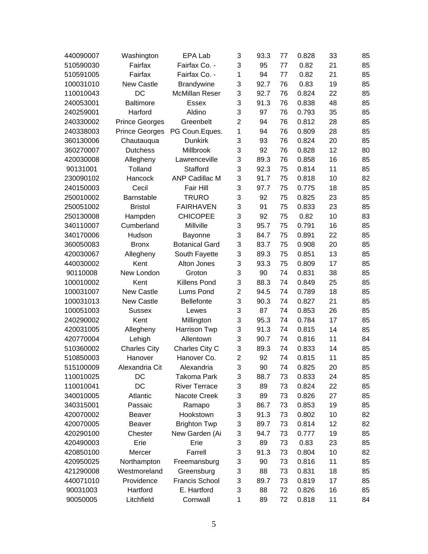| 440090007 | Washington            | EPA Lab               | 3              | 93.3 | 77 | 0.828 | 33 | 85 |
|-----------|-----------------------|-----------------------|----------------|------|----|-------|----|----|
| 510590030 | Fairfax               | Fairfax Co. -         | 3              | 95   | 77 | 0.82  | 21 | 85 |
| 510591005 | Fairfax               | Fairfax Co. -         | 1              | 94   | 77 | 0.82  | 21 | 85 |
| 100031010 | New Castle            | Brandywine            | 3              | 92.7 | 76 | 0.83  | 19 | 85 |
| 110010043 | DC                    | <b>McMillan Reser</b> | 3              | 92.7 | 76 | 0.824 | 22 | 85 |
| 240053001 | <b>Baltimore</b>      | <b>Essex</b>          | 3              | 91.3 | 76 | 0.838 | 48 | 85 |
| 240259001 | Harford               | Aldino                | 3              | 97   | 76 | 0.793 | 35 | 85 |
| 240330002 | <b>Prince Georges</b> | Greenbelt             | $\overline{2}$ | 94   | 76 | 0.812 | 28 | 85 |
| 240338003 | <b>Prince Georges</b> | PG Coun.Eques.        | 1              | 94   | 76 | 0.809 | 28 | 85 |
| 360130006 | Chautauqua            | <b>Dunkirk</b>        | 3              | 93   | 76 | 0.824 | 20 | 85 |
| 360270007 | <b>Dutchess</b>       | Millbrook             | 3              | 92   | 76 | 0.828 | 12 | 80 |
| 420030008 | Allegheny             | Lawrenceville         | 3              | 89.3 | 76 | 0.858 | 16 | 85 |
| 90131001  | Tolland               | Stafford              | 3              | 92.3 | 75 | 0.814 | 11 | 85 |
| 230090102 | Hancock               | <b>ANP Cadillac M</b> | 3              | 91.7 | 75 | 0.818 | 10 | 82 |
| 240150003 | Cecil                 | Fair Hill             | 3              | 97.7 | 75 | 0.775 | 18 | 85 |
| 250010002 | Barnstable            | <b>TRURO</b>          | 3              | 92   | 75 | 0.825 | 23 | 85 |
| 250051002 | <b>Bristol</b>        | <b>FAIRHAVEN</b>      | 3              | 91   | 75 | 0.833 | 23 | 85 |
| 250130008 | Hampden               | <b>CHICOPEE</b>       | 3              | 92   | 75 | 0.82  | 10 | 83 |
| 340110007 | Cumberland            | Millville             | 3              | 95.7 | 75 | 0.791 | 16 | 85 |
| 340170006 | Hudson                | Bayonne               | 3              | 84.7 | 75 | 0.891 | 22 | 85 |
| 360050083 | <b>Bronx</b>          | <b>Botanical Gard</b> | 3              | 83.7 | 75 | 0.908 | 20 | 85 |
| 420030067 | Allegheny             | South Fayette         | 3              | 89.3 | 75 | 0.851 | 13 | 85 |
| 440030002 | Kent                  | Alton Jones           | 3              | 93.3 | 75 | 0.809 | 17 | 85 |
| 90110008  | New London            | Groton                | 3              | 90   | 74 | 0.831 | 38 | 85 |
| 100010002 | Kent                  | <b>Killens Pond</b>   | 3              | 88.3 | 74 | 0.849 | 25 | 85 |
| 100031007 | <b>New Castle</b>     | Lums Pond             | $\overline{2}$ | 94.5 | 74 | 0.789 | 18 | 85 |
| 100031013 | New Castle            | <b>Bellefonte</b>     | 3              | 90.3 | 74 | 0.827 | 21 | 85 |
| 100051003 | <b>Sussex</b>         | Lewes                 | 3              | 87   | 74 | 0.853 | 26 | 85 |
| 240290002 | Kent                  | Millington            | 3              | 95.3 | 74 | 0.784 | 17 | 85 |
| 420031005 | Allegheny             | Harrison Twp          | 3              | 91.3 | 74 | 0.815 | 14 | 85 |
| 420770004 | Lehigh                | Allentown             | 3              | 90.7 | 74 | 0.816 | 11 | 84 |
| 510360002 | <b>Charles City</b>   | Charles City C        | 3              | 89.3 | 74 | 0.833 | 14 | 85 |
| 510850003 | Hanover               | Hanover Co.           | $\overline{2}$ | 92   | 74 | 0.815 | 11 | 85 |
| 515100009 | Alexandria Cit        | Alexandria            | 3              | 90   | 74 | 0.825 | 20 | 85 |
| 110010025 | DC                    | Takoma Park           | 3              | 88.7 | 73 | 0.833 | 24 | 85 |
| 110010041 | DC                    | <b>River Terrace</b>  | 3              | 89   | 73 | 0.824 | 22 | 85 |
| 340010005 | Atlantic              | Nacote Creek          | 3              | 89   | 73 | 0.826 | 27 | 85 |
| 340315001 | Passaic               | Ramapo                | 3              | 86.7 | 73 | 0.853 | 19 | 85 |
| 420070002 | <b>Beaver</b>         | Hookstown             | 3              | 91.3 | 73 | 0.802 | 10 | 82 |
| 420070005 | Beaver                | <b>Brighton Twp</b>   | 3              | 89.7 | 73 | 0.814 | 12 | 82 |
| 420290100 | Chester               | New Garden (Ai        | 3              | 94.7 | 73 | 0.777 | 19 | 85 |
| 420490003 | Erie                  | Erie                  | 3              | 89   | 73 | 0.83  | 23 | 85 |
| 420850100 | Mercer                | Farrell               | 3              | 91.3 | 73 | 0.804 | 10 | 82 |
| 420950025 | Northampton           | Freemansburg          | 3              | 90   | 73 | 0.816 | 11 | 85 |
| 421290008 | Westmoreland          | Greensburg            | 3              | 88   | 73 | 0.831 | 18 | 85 |
| 440071010 | Providence            | <b>Francis School</b> | 3              | 89.7 | 73 | 0.819 | 17 | 85 |
| 90031003  | Hartford              | E. Hartford           | 3              | 88   | 72 | 0.826 | 16 | 85 |
| 90050005  | Litchfield            | Cornwall              | 1              | 89   | 72 | 0.818 | 11 | 84 |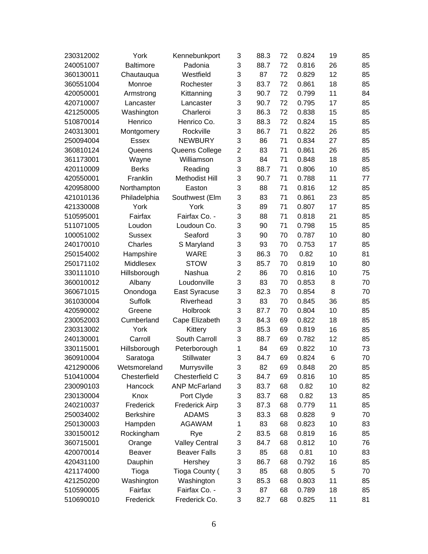| 230312002 | York             | Kennebunkport         | 3              | 88.3 | 72 | 0.824 | 19 | 85 |
|-----------|------------------|-----------------------|----------------|------|----|-------|----|----|
| 240051007 | <b>Baltimore</b> | Padonia               | 3              | 88.7 | 72 | 0.816 | 26 | 85 |
| 360130011 | Chautauqua       | Westfield             | 3              | 87   | 72 | 0.829 | 12 | 85 |
| 360551004 | Monroe           | Rochester             | 3              | 83.7 | 72 | 0.861 | 18 | 85 |
| 420050001 | Armstrong        | Kittanning            | 3              | 90.7 | 72 | 0.799 | 11 | 84 |
| 420710007 | Lancaster        | Lancaster             | 3              | 90.7 | 72 | 0.795 | 17 | 85 |
| 421250005 | Washington       | Charleroi             | 3              | 86.3 | 72 | 0.838 | 15 | 85 |
| 510870014 | Henrico          | Henrico Co.           | 3              | 88.3 | 72 | 0.824 | 15 | 85 |
| 240313001 | Montgomery       | Rockville             | 3              | 86.7 | 71 | 0.822 | 26 | 85 |
| 250094004 | <b>Essex</b>     | <b>NEWBURY</b>        | 3              | 86   | 71 | 0.834 | 27 | 85 |
| 360810124 | Queens           | Queens College        | $\overline{c}$ | 83   | 71 | 0.861 | 26 | 85 |
| 361173001 | Wayne            | Williamson            | 3              | 84   | 71 | 0.848 | 18 | 85 |
| 420110009 | <b>Berks</b>     | Reading               | 3              | 88.7 | 71 | 0.806 | 10 | 85 |
| 420550001 | Franklin         | Methodist Hill        | 3              | 90.7 | 71 | 0.788 | 11 | 77 |
| 420958000 | Northampton      | Easton                | 3              | 88   | 71 | 0.816 | 12 | 85 |
| 421010136 | Philadelphia     | Southwest (Elm        | 3              | 83   | 71 | 0.861 | 23 | 85 |
| 421330008 | York             | York                  | 3              | 89   | 71 | 0.807 | 17 | 85 |
| 510595001 | Fairfax          | Fairfax Co. -         | 3              | 88   | 71 | 0.818 | 21 | 85 |
| 511071005 | Loudon           | Loudoun Co.           | 3              | 90   | 71 | 0.798 | 15 | 85 |
| 100051002 | <b>Sussex</b>    | Seaford               | 3              | 90   | 70 | 0.787 | 10 | 80 |
| 240170010 | Charles          | S Maryland            | 3              | 93   | 70 | 0.753 | 17 | 85 |
| 250154002 | Hampshire        | <b>WARE</b>           | 3              | 86.3 | 70 | 0.82  | 10 | 81 |
| 250171102 | Middlesex        | <b>STOW</b>           | 3              | 85.7 | 70 | 0.819 | 10 | 80 |
| 330111010 | Hillsborough     | Nashua                | $\overline{2}$ | 86   | 70 | 0.816 | 10 | 75 |
| 360010012 | Albany           | Loudonville           | 3              | 83   | 70 | 0.853 | 8  | 70 |
| 360671015 | Onondoga         | East Syracuse         | 3              | 82.3 | 70 | 0.854 | 8  | 70 |
| 361030004 | <b>Suffolk</b>   | Riverhead             | 3              | 83   | 70 | 0.845 | 36 | 85 |
| 420590002 | Greene           | Holbrook              | 3              | 87.7 | 70 | 0.804 | 10 | 85 |
| 230052003 | Cumberland       | Cape Elizabeth        | 3              | 84.3 | 69 | 0.822 | 18 | 85 |
| 230313002 | York             | Kittery               | 3              | 85.3 | 69 | 0.819 | 16 | 85 |
| 240130001 | Carroll          | South Carroll         | 3              | 88.7 | 69 | 0.782 | 12 | 85 |
| 330115001 | Hillsborough     | Peterborough          | 1              | 84   | 69 | 0.822 | 10 | 73 |
| 360910004 | Saratoga         | Stillwater            | 3              | 84.7 | 69 | 0.824 | 6  | 70 |
| 421290006 | Wetsmoreland     | Murrysville           | 3              | 82   | 69 | 0.848 | 20 | 85 |
| 510410004 | Chesterfield     | Chesterfield C        | 3              | 84.7 | 69 | 0.816 | 10 | 85 |
| 230090103 | Hancock          | <b>ANP McFarland</b>  | 3              | 83.7 | 68 | 0.82  | 10 | 82 |
| 230130004 | Knox             | Port Clyde            | 3              | 83.7 | 68 | 0.82  | 13 | 85 |
| 240210037 | Frederick        | <b>Frederick Airp</b> | 3              | 87.3 | 68 | 0.779 | 11 | 85 |
| 250034002 | <b>Berkshire</b> | <b>ADAMS</b>          | 3              | 83.3 | 68 | 0.828 | 9  | 70 |
| 250130003 | Hampden          | <b>AGAWAM</b>         | 1              | 83   | 68 | 0.823 | 10 | 83 |
| 330150012 | Rockingham       | Rye                   | $\overline{2}$ | 83.5 | 68 | 0.819 | 16 | 85 |
| 360715001 | Orange           | <b>Valley Central</b> | 3              | 84.7 | 68 | 0.812 | 10 | 76 |
| 420070014 | Beaver           | <b>Beaver Falls</b>   | 3              | 85   | 68 | 0.81  | 10 | 83 |
| 420431100 | Dauphin          | Hershey               | 3              | 86.7 | 68 | 0.792 | 16 | 85 |
| 421174000 | Tioga            | Tioga County (        | 3              | 85   | 68 | 0.805 | 5  | 70 |
| 421250200 | Washington       | Washington            | 3              | 85.3 | 68 | 0.803 | 11 | 85 |
| 510590005 | Fairfax          | Fairfax Co. -         | 3              | 87   | 68 | 0.789 | 18 | 85 |
| 510690010 | Frederick        | Frederick Co.         | 3              | 82.7 | 68 | 0.825 | 11 | 81 |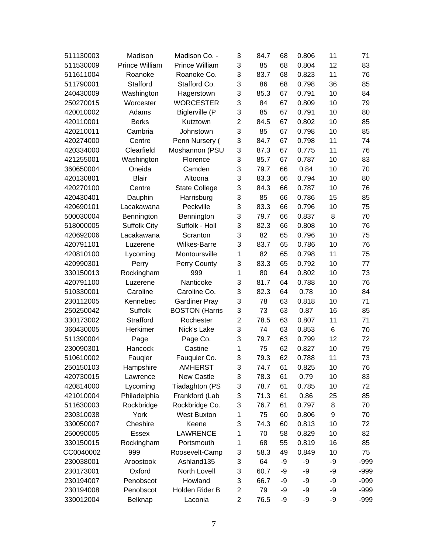| 511130003 | Madison               | Madison Co. -         | 3              | 84.7 | 68 | 0.806 | 11 | 71     |
|-----------|-----------------------|-----------------------|----------------|------|----|-------|----|--------|
| 511530009 | <b>Prince William</b> | <b>Prince William</b> | 3              | 85   | 68 | 0.804 | 12 | 83     |
| 511611004 | Roanoke               | Roanoke Co.           | 3              | 83.7 | 68 | 0.823 | 11 | 76     |
| 511790001 | Stafford              | Stafford Co.          | 3              | 86   | 68 | 0.798 | 36 | 85     |
| 240430009 | Washington            | Hagerstown            | 3              | 85.3 | 67 | 0.791 | 10 | 84     |
| 250270015 | Worcester             | <b>WORCESTER</b>      | 3              | 84   | 67 | 0.809 | 10 | 79     |
| 420010002 | Adams                 | <b>Biglerville (P</b> | 3              | 85   | 67 | 0.791 | 10 | 80     |
| 420110001 | <b>Berks</b>          | Kutztown              | $\overline{2}$ | 84.5 | 67 | 0.802 | 10 | 85     |
| 420210011 | Cambria               | Johnstown             | 3              | 85   | 67 | 0.798 | 10 | 85     |
| 420274000 | Centre                | Penn Nursery (        | 3              | 84.7 | 67 | 0.798 | 11 | 74     |
| 420334000 | Clearfield            | Moshannon (PSU        | 3              | 87.3 | 67 | 0.775 | 11 | 76     |
| 421255001 | Washington            | Florence              | 3              | 85.7 | 67 | 0.787 | 10 | 83     |
| 360650004 | Oneida                | Camden                | 3              | 79.7 | 66 | 0.84  | 10 | 70     |
| 420130801 | <b>Blair</b>          | Altoona               | 3              | 83.3 | 66 | 0.794 | 10 | 80     |
| 420270100 | Centre                | <b>State College</b>  | 3              | 84.3 | 66 | 0.787 | 10 | 76     |
| 420430401 | Dauphin               | Harrisburg            | 3              | 85   | 66 | 0.786 | 15 | 85     |
| 420690101 | Lacakawana            | Peckville             | 3              | 83.3 | 66 | 0.796 | 10 | 75     |
| 500030004 | Bennington            | Bennington            | 3              | 79.7 | 66 | 0.837 | 8  | 70     |
| 518000005 | <b>Suffolk City</b>   | Suffolk - Holl        | 3              | 82.3 | 66 | 0.808 | 10 | 76     |
| 420692006 | Lacakawana            | Scranton              | 3              | 82   | 65 | 0.796 | 10 | 75     |
| 420791101 | Luzerene              | Wilkes-Barre          | 3              | 83.7 | 65 | 0.786 | 10 | 76     |
| 420810100 | Lycoming              | Montoursville         | 1              | 82   | 65 | 0.798 | 11 | 75     |
| 420990301 | Perry                 | Perry County          | 3              | 83.3 | 65 | 0.792 | 10 | 77     |
| 330150013 | Rockingham            | 999                   | 1              | 80   | 64 | 0.802 | 10 | 73     |
| 420791100 | Luzerene              | Nanticoke             | 3              | 81.7 | 64 | 0.788 | 10 | 76     |
| 510330001 | Caroline              | Caroline Co.          | 3              | 82.3 | 64 | 0.78  | 10 | 84     |
| 230112005 | Kennebec              | <b>Gardiner Pray</b>  | 3              | 78   | 63 | 0.818 | 10 | 71     |
| 250250042 | Suffolk               | <b>BOSTON (Harris</b> | 3              | 73   | 63 | 0.87  | 16 | 85     |
| 330173002 | Strafford             | Rochester             | $\overline{2}$ | 78.5 | 63 | 0.807 | 11 | 71     |
| 360430005 | Herkimer              | Nick's Lake           | 3              | 74   | 63 | 0.853 | 6  | 70     |
| 511390004 | Page                  | Page Co.              | 3              | 79.7 | 63 | 0.799 | 12 | 72     |
| 230090301 | Hancock               | Castine               | 1              | 75   | 62 | 0.827 | 10 | 79     |
| 510610002 | Faugier               | Fauquier Co.          | 3              | 79.3 | 62 | 0.788 | 11 | 73     |
| 250150103 | Hampshire             | <b>AMHERST</b>        | 3              | 74.7 | 61 | 0.825 | 10 | 76     |
| 420730015 | Lawrence              | <b>New Castle</b>     | 3              | 78.3 | 61 | 0.79  | 10 | 83     |
| 420814000 | Lycoming              | Tiadaghton (PS        | 3              | 78.7 | 61 | 0.785 | 10 | 72     |
| 421010004 | Philadelphia          | Frankford (Lab        | 3              | 71.3 | 61 | 0.86  | 25 | 85     |
| 511630003 | Rockbridge            | Rockbridge Co.        | 3              | 76.7 | 61 | 0.797 | 8  | 70     |
| 230310038 | York                  | <b>West Buxton</b>    | 1              | 75   | 60 | 0.806 | 9  | 70     |
| 330050007 | Cheshire              | Keene                 | 3              | 74.3 | 60 | 0.813 | 10 | 72     |
| 250090005 | Essex                 | <b>LAWRENCE</b>       | 1              | 70   | 58 | 0.829 | 10 | 82     |
| 330150015 | Rockingham            | Portsmouth            | 1              | 68   | 55 | 0.819 | 16 | 85     |
| CC0040002 | 999                   | Roosevelt-Camp        | 3              | 58.3 | 49 | 0.849 | 10 | 75     |
| 230038001 | Aroostook             | Ashland135            | 3              | 64   | -9 | -9    | -9 | $-999$ |
| 230173001 | Oxford                | North Lovell          | 3              | 60.7 | -9 | -9    | -9 | $-999$ |
| 230194007 | Penobscot             | Howland               | 3              | 66.7 | -9 | -9    | -9 | $-999$ |
| 230194008 | Penobscot             | Holden Rider B        | 2              | 79   | -9 | -9    | -9 | $-999$ |
| 330012004 | Belknap               | Laconia               | 2              | 76.5 | -9 | -9    | -9 | -999   |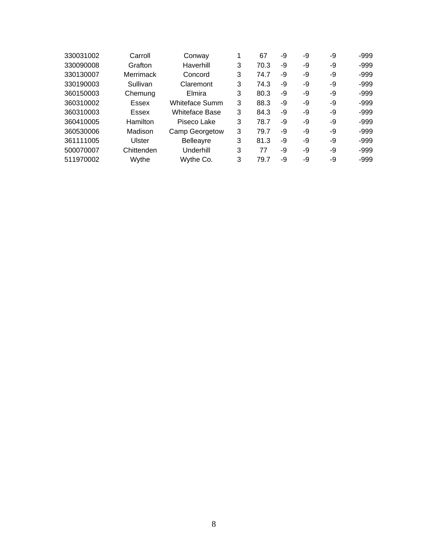| Carroll         | Conway                |   | 67   | -9 | -9 | -9 | $-999$ |
|-----------------|-----------------------|---|------|----|----|----|--------|
| Grafton         | Haverhill             | 3 | 70.3 | -9 | -9 | -9 | $-999$ |
| Merrimack       | Concord               | 3 | 74.7 | -9 | -9 | -9 | $-999$ |
| Sullivan        | Claremont             | 3 | 74.3 | -9 | -9 | -9 | $-999$ |
| Chemung         | Elmira                | 3 | 80.3 | -9 | -9 | -9 | $-999$ |
| <b>Essex</b>    | Whiteface Summ        | 3 | 88.3 | -9 | -9 | -9 | $-999$ |
| Essex           | <b>Whiteface Base</b> | 3 | 84.3 | -9 | -9 | -9 | $-999$ |
| <b>Hamilton</b> | Piseco Lake           | 3 | 78.7 | -9 | -9 | -9 | $-999$ |
| Madison         | <b>Camp Georgetow</b> | 3 | 79.7 | -9 | -9 | -9 | $-999$ |
| Ulster          | <b>Belleayre</b>      | 3 | 81.3 | -9 | -9 | -9 | $-999$ |
| Chittenden      | Underhill             | 3 | 77   | -9 | -9 | -9 | $-999$ |
| Wythe           | Wythe Co.             | 3 | 79.7 | -9 | -9 | -9 | $-999$ |
|                 |                       |   |      |    |    |    |        |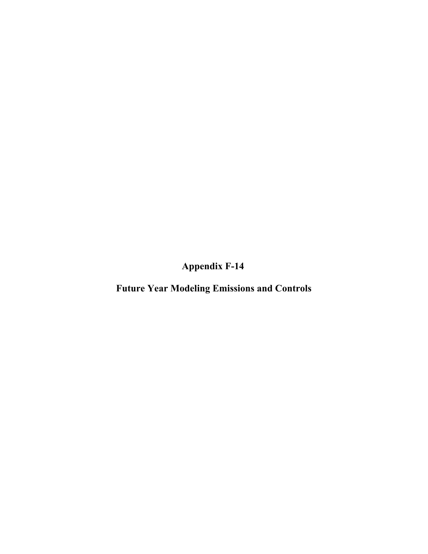**Appendix F-14** 

**Future Year Modeling Emissions and Controls**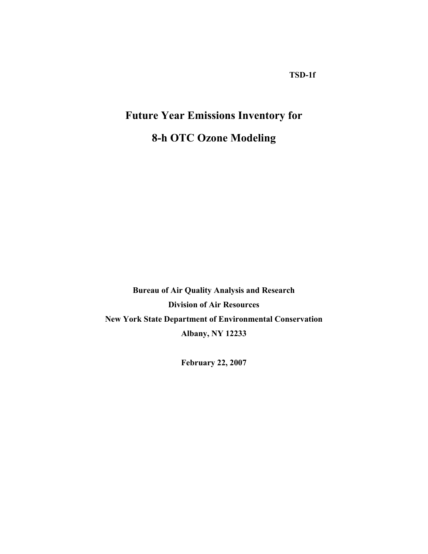**TSD-1f** 

# **Future Year Emissions Inventory for 8-h OTC Ozone Modeling**

**Bureau of Air Quality Analysis and Research Division of Air Resources New York State Department of Environmental Conservation Albany, NY 12233** 

**February 22, 2007**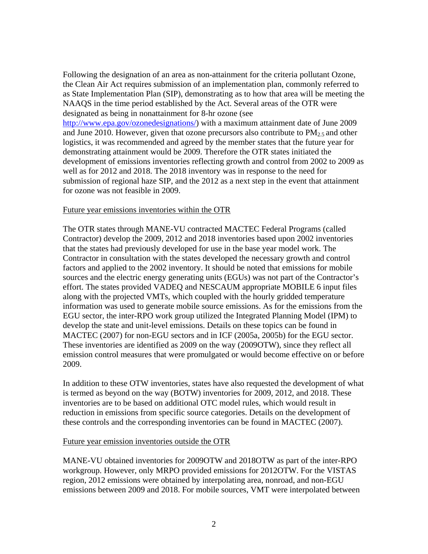Following the designation of an area as non-attainment for the criteria pollutant Ozone, the Clean Air Act requires submission of an implementation plan, commonly referred to as State Implementation Plan (SIP), demonstrating as to how that area will be meeting the NAAQS in the time period established by the Act. Several areas of the OTR were designated as being in nonattainment for 8-hr ozone (see [http://www.epa.gov/ozonedesignations/\)](http://www.epa.gov/ozonedesignations/) with a maximum attainment date of June 2009 and June 2010. However, given that ozone precursors also contribute to  $PM_{2.5}$  and other logistics, it was recommended and agreed by the member states that the future year for demonstrating attainment would be 2009. Therefore the OTR states initiated the

development of emissions inventories reflecting growth and control from 2002 to 2009 as well as for 2012 and 2018. The 2018 inventory was in response to the need for submission of regional haze SIP, and the 2012 as a next step in the event that attainment for ozone was not feasible in 2009.

#### Future year emissions inventories within the OTR

The OTR states through MANE-VU contracted MACTEC Federal Programs (called Contractor) develop the 2009, 2012 and 2018 inventories based upon 2002 inventories that the states had previously developed for use in the base year model work. The Contractor in consultation with the states developed the necessary growth and control factors and applied to the 2002 inventory. It should be noted that emissions for mobile sources and the electric energy generating units (EGUs) was not part of the Contractor's effort. The states provided VADEQ and NESCAUM appropriate MOBILE 6 input files along with the projected VMTs, which coupled with the hourly gridded temperature information was used to generate mobile source emissions. As for the emissions from the EGU sector, the inter-RPO work group utilized the Integrated Planning Model (IPM) to develop the state and unit-level emissions. Details on these topics can be found in MACTEC (2007) for non-EGU sectors and in ICF (2005a, 2005b) for the EGU sector. These inventories are identified as 2009 on the way (2009OTW), since they reflect all emission control measures that were promulgated or would become effective on or before 2009.

In addition to these OTW inventories, states have also requested the development of what is termed as beyond on the way (BOTW) inventories for 2009, 2012, and 2018. These inventories are to be based on additional OTC model rules, which would result in reduction in emissions from specific source categories. Details on the development of these controls and the corresponding inventories can be found in MACTEC (2007).

#### Future year emission inventories outside the OTR

MANE-VU obtained inventories for 2009OTW and 2018OTW as part of the inter-RPO workgroup. However, only MRPO provided emissions for 2012OTW. For the VISTAS region, 2012 emissions were obtained by interpolating area, nonroad, and non-EGU emissions between 2009 and 2018. For mobile sources, VMT were interpolated between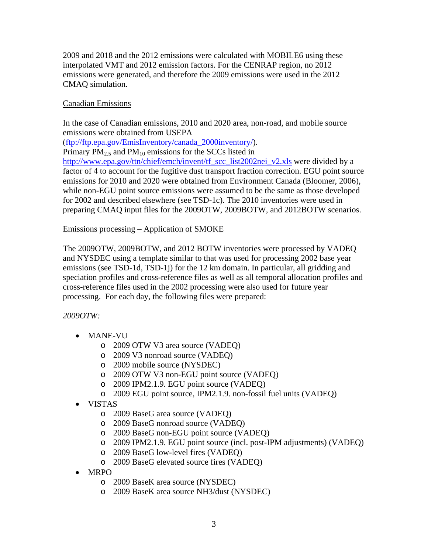2009 and 2018 and the 2012 emissions were calculated with MOBILE6 using these interpolated VMT and 2012 emission factors. For the CENRAP region, no 2012 emissions were generated, and therefore the 2009 emissions were used in the 2012 CMAQ simulation.

# Canadian Emissions

In the case of Canadian emissions, 2010 and 2020 area, non-road, and mobile source emissions were obtained from USEPA ([ftp://ftp.epa.gov/EmisInventory/canada\\_2000inventory/\)](ftp://ftp.epa.gov/EmisInventory/canada_2000inventory/). Primary  $PM_{2.5}$  and  $PM_{10}$  emissions for the SCCs listed in [http://www.epa.gov/ttn/chief/emch/invent/tf\\_scc\\_list2002nei\\_v2.xls](http://www.epa.gov/ttn/chief/emch/invent/tf_scc_list2002nei_v2.xls) were divided by a factor of 4 to account for the fugitive dust transport fraction correction. EGU point source emissions for 2010 and 2020 were obtained from Environment Canada (Bloomer, 2006), while non-EGU point source emissions were assumed to be the same as those developed for 2002 and described elsewhere (see TSD-1c). The 2010 inventories were used in preparing CMAQ input files for the 2009OTW, 2009BOTW, and 2012BOTW scenarios.

Emissions processing – Application of SMOKE

The 2009OTW, 2009BOTW, and 2012 BOTW inventories were processed by VADEQ and NYSDEC using a template similar to that was used for processing 2002 base year emissions (see TSD-1d, TSD-1j) for the 12 km domain. In particular, all gridding and speciation profiles and cross-reference files as well as all temporal allocation profiles and cross-reference files used in the 2002 processing were also used for future year processing. For each day, the following files were prepared:

*2009OTW:* 

- MANE-VU
	- o 2009 OTW V3 area source (VADEQ)
	- o 2009 V3 nonroad source (VADEQ)
	- o 2009 mobile source (NYSDEC)
	- o 2009 OTW V3 non-EGU point source (VADEQ)
	- o 2009 IPM2.1.9. EGU point source (VADEQ)
	- o 2009 EGU point source, IPM2.1.9. non-fossil fuel units (VADEQ)
- VISTAS
	- o 2009 BaseG area source (VADEQ)
	- o 2009 BaseG nonroad source (VADEQ)
	- o 2009 BaseG non-EGU point source (VADEQ)
	- o 2009 IPM2.1.9. EGU point source (incl. post-IPM adjustments) (VADEQ)
	- o 2009 BaseG low-level fires (VADEQ)
	- o 2009 BaseG elevated source fires (VADEQ)
- MRPO
	- o 2009 BaseK area source (NYSDEC)
	- o 2009 BaseK area source NH3/dust (NYSDEC)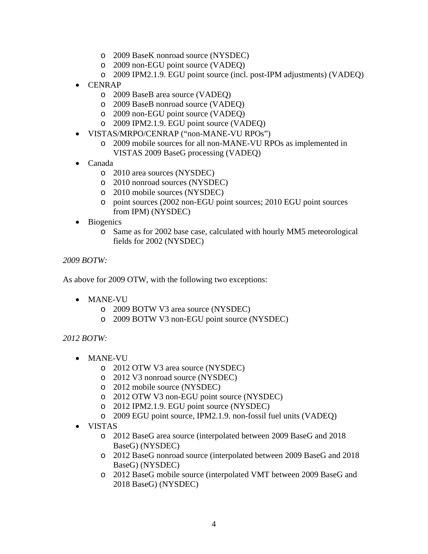- o 2009 BaseK nonroad source (NYSDEC)
- o 2009 non-EGU point source (VADEQ)
- o 2009 IPM2.1.9. EGU point source (incl. post-IPM adjustments) (VADEQ)
- CENRAP
	- o 2009 BaseB area source (VADEQ)
	- o 2009 BaseB nonroad source (VADEQ)
	- o 2009 non-EGU point source (VADEQ)
	- o 2009 IPM2.1.9. EGU point source (VADEQ)
- VISTAS/MRPO/CENRAP ("non-MANE-VU RPOs")
	- o 2009 mobile sources for all non-MANE-VU RPOs as implemented in VISTAS 2009 BaseG processing (VADEQ)
- Canada
	- o 2010 area sources (NYSDEC)
	- o 2010 nonroad sources (NYSDEC)
	- o 2010 mobile sources (NYSDEC)
	- o point sources (2002 non-EGU point sources; 2010 EGU point sources from IPM) (NYSDEC)
- Biogenics
	- o Same as for 2002 base case, calculated with hourly MM5 meteorological fields for 2002 (NYSDEC)

#### *2009 BOTW:*

As above for 2009 OTW, with the following two exceptions:

- MANE-VU
	- o 2009 BOTW V3 area source (NYSDEC)
	- o 2009 BOTW V3 non-EGU point source (NYSDEC)

#### *2012 BOTW:*

- MANE-VU
	- o 2012 OTW V3 area source (NYSDEC)
	- o 2012 V3 nonroad source (NYSDEC)
	- o 2012 mobile source (NYSDEC)
	- o 2012 OTW V3 non-EGU point source (NYSDEC)
	- o 2012 IPM2.1.9. EGU point source (NYSDEC)
	- o 2009 EGU point source, IPM2.1.9. non-fossil fuel units (VADEQ)
- VISTAS
	- o 2012 BaseG area source (interpolated between 2009 BaseG and 2018 BaseG) (NYSDEC)
	- o 2012 BaseG nonroad source (interpolated between 2009 BaseG and 2018 BaseG) (NYSDEC)
	- o 2012 BaseG mobile source (interpolated VMT between 2009 BaseG and 2018 BaseG) (NYSDEC)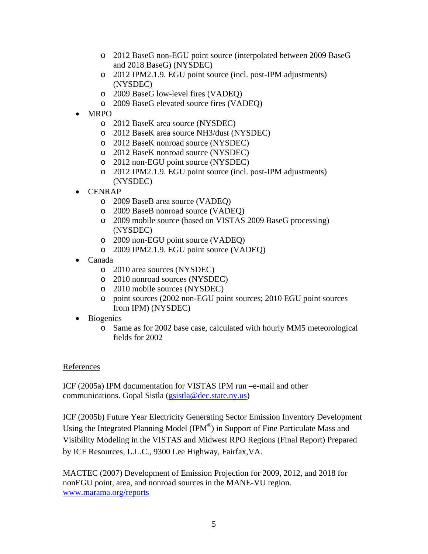- o 2012 BaseG non-EGU point source (interpolated between 2009 BaseG and 2018 BaseG) (NYSDEC)
- o 2012 IPM2.1.9. EGU point source (incl. post-IPM adjustments) (NYSDEC)
- o 2009 BaseG low-level fires (VADEQ)
- o 2009 BaseG elevated source fires (VADEQ)
- MRPO
	- o 2012 BaseK area source (NYSDEC)
	- o 2012 BaseK area source NH3/dust (NYSDEC)
	- o 2012 BaseK nonroad source (NYSDEC)
	- o 2012 BaseK nonroad source (NYSDEC)
	- o 2012 non-EGU point source (NYSDEC)
	- o 2012 IPM2.1.9. EGU point source (incl. post-IPM adjustments) (NYSDEC)
- CENRAP
	- o 2009 BaseB area source (VADEQ)
	- o 2009 BaseB nonroad source (VADEQ)
	- o 2009 mobile source (based on VISTAS 2009 BaseG processing) (NYSDEC)
	- o 2009 non-EGU point source (VADEQ)
	- o 2009 IPM2.1.9. EGU point source (VADEQ)
- Canada
	- o 2010 area sources (NYSDEC)
	- o 2010 nonroad sources (NYSDEC)
	- o 2010 mobile sources (NYSDEC)
	- o point sources (2002 non-EGU point sources; 2010 EGU point sources from IPM) (NYSDEC)
- **Biogenics** 
	- o Same as for 2002 base case, calculated with hourly MM5 meteorological fields for 2002

# **References**

ICF (2005a) IPM documentation for VISTAS IPM run –e-mail and other communications. Gopal Sistla [\(gsistla@dec.state.ny.us](mailto:gsistla@dec.state.ny.us))

ICF (2005b) Future Year Electricity Generating Sector Emission Inventory Development Using the Integrated Planning Model (IPM<sup>®</sup>) in Support of Fine Particulate Mass and Visibility Modeling in the VISTAS and Midwest RPO Regions (Final Report) Prepared by ICF Resources, L.L.C., 9300 Lee Highway, Fairfax,VA.

MACTEC (2007) Development of Emission Projection for 2009, 2012, and 2018 for nonEGU point, area, and nonroad sources in the MANE-VU region. [www.marama.org/reports](http://www.marama.org/reports)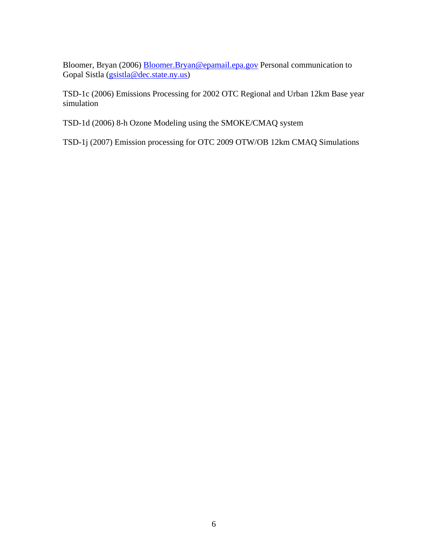Bloomer, Bryan (2006) [Bloomer.Bryan@epamail.epa.gov](mailto:Bloomer.Bryan@epamail.epa.gov) Personal communication to Gopal Sistla [\(gsistla@dec.state.ny.us](mailto:gsistla@dec.state.ny.us))

TSD-1c (2006) Emissions Processing for 2002 OTC Regional and Urban 12km Base year simulation

TSD-1d (2006) 8-h Ozone Modeling using the SMOKE/CMAQ system

TSD-1j (2007) Emission processing for OTC 2009 OTW/OB 12km CMAQ Simulations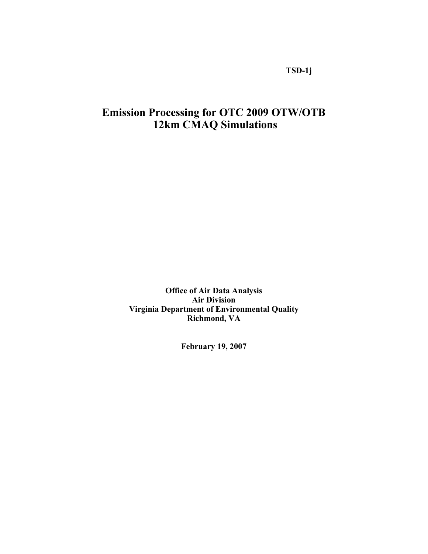**TSD-1j** 

# **Emission Processing for OTC 2009 OTW/OTB 12km CMAQ Simulations**

**Office of Air Data Analysis Air Division Virginia Department of Environmental Quality Richmond, VA** 

**February 19, 2007**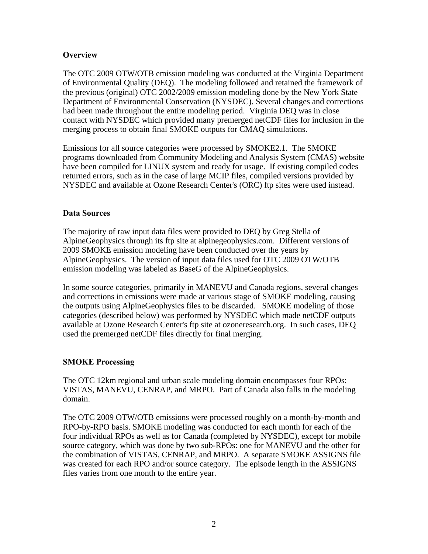## **Overview**

The OTC 2009 OTW/OTB emission modeling was conducted at the Virginia Department of Environmental Quality (DEQ). The modeling followed and retained the framework of the previous (original) OTC 2002/2009 emission modeling done by the New York State Department of Environmental Conservation (NYSDEC). Several changes and corrections had been made throughout the entire modeling period. Virginia DEQ was in close contact with NYSDEC which provided many premerged netCDF files for inclusion in the merging process to obtain final SMOKE outputs for CMAQ simulations.

Emissions for all source categories were processed by SMOKE2.1. The SMOKE programs downloaded from Community Modeling and Analysis System (CMAS) website have been compiled for LINUX system and ready for usage. If existing compiled codes returned errors, such as in the case of large MCIP files, compiled versions provided by NYSDEC and available at Ozone Research Center's (ORC) ftp sites were used instead.

#### **Data Sources**

The majority of raw input data files were provided to DEQ by Greg Stella of AlpineGeophysics through its ftp site at alpinegeophysics.com. Different versions of 2009 SMOKE emission modeling have been conducted over the years by AlpineGeophysics. The version of input data files used for OTC 2009 OTW/OTB emission modeling was labeled as BaseG of the AlpineGeophysics.

In some source categories, primarily in MANEVU and Canada regions, several changes and corrections in emissions were made at various stage of SMOKE modeling, causing the outputs using AlpineGeophysics files to be discarded. SMOKE modeling of those categories (described below) was performed by NYSDEC which made netCDF outputs available at Ozone Research Center's ftp site at ozoneresearch.org. In such cases, DEQ used the premerged netCDF files directly for final merging.

# **SMOKE Processing**

The OTC 12km regional and urban scale modeling domain encompasses four RPOs: VISTAS, MANEVU, CENRAP, and MRPO. Part of Canada also falls in the modeling domain.

The OTC 2009 OTW/OTB emissions were processed roughly on a month-by-month and RPO-by-RPO basis. SMOKE modeling was conducted for each month for each of the four individual RPOs as well as for Canada (completed by NYSDEC), except for mobile source category, which was done by two sub-RPOs: one for MANEVU and the other for the combination of VISTAS, CENRAP, and MRPO. A separate SMOKE ASSIGNS file was created for each RPO and/or source category. The episode length in the ASSIGNS files varies from one month to the entire year.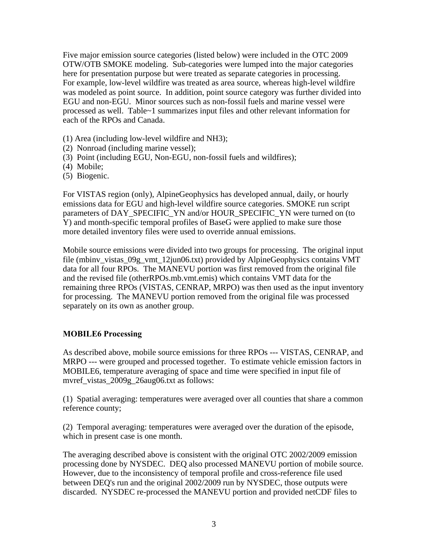Five major emission source categories (listed below) were included in the OTC 2009 OTW/OTB SMOKE modeling. Sub-categories were lumped into the major categories here for presentation purpose but were treated as separate categories in processing. For example, low-level wildfire was treated as area source, whereas high-level wildfire was modeled as point source. In addition, point source category was further divided into EGU and non-EGU. Minor sources such as non-fossil fuels and marine vessel were processed as well. Table~1 summarizes input files and other relevant information for each of the RPOs and Canada.

- (1) Area (including low-level wildfire and NH3);
- (2) Nonroad (including marine vessel);
- (3) Point (including EGU, Non-EGU, non-fossil fuels and wildfires);
- (4) Mobile;
- (5) Biogenic.

For VISTAS region (only), AlpineGeophysics has developed annual, daily, or hourly emissions data for EGU and high-level wildfire source categories. SMOKE run script parameters of DAY\_SPECIFIC\_YN and/or HOUR\_SPECIFIC\_YN were turned on (to Y) and month-specific temporal profiles of BaseG were applied to make sure those more detailed inventory files were used to override annual emissions.

Mobile source emissions were divided into two groups for processing. The original input file (mbinv\_vistas\_09g\_vmt\_12jun06.txt) provided by AlpineGeophysics contains VMT data for all four RPOs. The MANEVU portion was first removed from the original file and the revised file (otherRPOs.mb.vmt.emis) which contains VMT data for the remaining three RPOs (VISTAS, CENRAP, MRPO) was then used as the input inventory for processing. The MANEVU portion removed from the original file was processed separately on its own as another group.

# **MOBILE6 Processing**

As described above, mobile source emissions for three RPOs --- VISTAS, CENRAP, and MRPO --- were grouped and processed together. To estimate vehicle emission factors in MOBILE6, temperature averaging of space and time were specified in input file of mvref\_vistas\_2009g\_26aug06.txt as follows:

(1) Spatial averaging: temperatures were averaged over all counties that share a common reference county;

(2) Temporal averaging: temperatures were averaged over the duration of the episode, which in present case is one month.

The averaging described above is consistent with the original OTC 2002/2009 emission processing done by NYSDEC. DEQ also processed MANEVU portion of mobile source. However, due to the inconsistency of temporal profile and cross-reference file used between DEQ's run and the original 2002/2009 run by NYSDEC, those outputs were discarded. NYSDEC re-processed the MANEVU portion and provided netCDF files to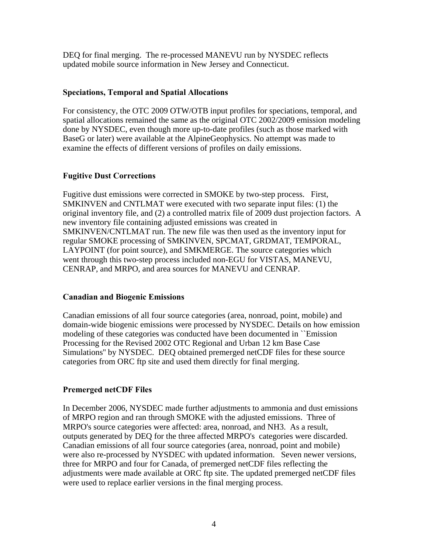DEQ for final merging. The re-processed MANEVU run by NYSDEC reflects updated mobile source information in New Jersey and Connecticut.

#### **Speciations, Temporal and Spatial Allocations**

For consistency, the OTC 2009 OTW/OTB input profiles for speciations, temporal, and spatial allocations remained the same as the original OTC 2002/2009 emission modeling done by NYSDEC, even though more up-to-date profiles (such as those marked with BaseG or later) were available at the AlpineGeophysics. No attempt was made to examine the effects of different versions of profiles on daily emissions.

### **Fugitive Dust Corrections**

Fugitive dust emissions were corrected in SMOKE by two-step process. First, SMKINVEN and CNTLMAT were executed with two separate input files: (1) the original inventory file, and (2) a controlled matrix file of 2009 dust projection factors. A new inventory file containing adjusted emissions was created in SMKINVEN/CNTLMAT run. The new file was then used as the inventory input for regular SMOKE processing of SMKINVEN, SPCMAT, GRDMAT, TEMPORAL, LAYPOINT (for point source), and SMKMERGE. The source categories which went through this two-step process included non-EGU for VISTAS, MANEVU, CENRAP, and MRPO, and area sources for MANEVU and CENRAP.

#### **Canadian and Biogenic Emissions**

Canadian emissions of all four source categories (area, nonroad, point, mobile) and domain-wide biogenic emissions were processed by NYSDEC. Details on how emission modeling of these categories was conducted have been documented in ``Emission Processing for the Revised 2002 OTC Regional and Urban 12 km Base Case Simulations'' by NYSDEC. DEQ obtained premerged netCDF files for these source categories from ORC ftp site and used them directly for final merging.

# **Premerged netCDF Files**

In December 2006, NYSDEC made further adjustments to ammonia and dust emissions of MRPO region and ran through SMOKE with the adjusted emissions. Three of MRPO's source categories were affected: area, nonroad, and NH3. As a result, outputs generated by DEQ for the three affected MRPO's categories were discarded. Canadian emissions of all four source categories (area, nonroad, point and mobile) were also re-processed by NYSDEC with updated information. Seven newer versions, three for MRPO and four for Canada, of premerged netCDF files reflecting the adjustments were made available at ORC ftp site. The updated premerged netCDF files were used to replace earlier versions in the final merging process.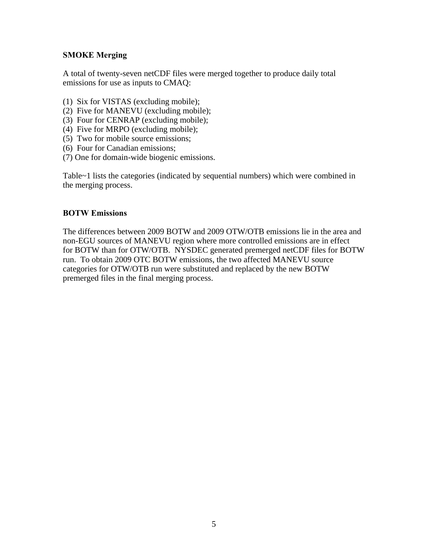# **SMOKE Merging**

A total of twenty-seven netCDF files were merged together to produce daily total emissions for use as inputs to CMAQ:

- (1) Six for VISTAS (excluding mobile);
- (2) Five for MANEVU (excluding mobile);
- (3) Four for CENRAP (excluding mobile);
- (4) Five for MRPO (excluding mobile);
- (5) Two for mobile source emissions;
- (6) Four for Canadian emissions;
- (7) One for domain-wide biogenic emissions.

Table~1 lists the categories (indicated by sequential numbers) which were combined in the merging process.

#### **BOTW Emissions**

The differences between 2009 BOTW and 2009 OTW/OTB emissions lie in the area and non-EGU sources of MANEVU region where more controlled emissions are in effect for BOTW than for OTW/OTB. NYSDEC generated premerged netCDF files for BOTW run. To obtain 2009 OTC BOTW emissions, the two affected MANEVU source categories for OTW/OTB run were substituted and replaced by the new BOTW premerged files in the final merging process.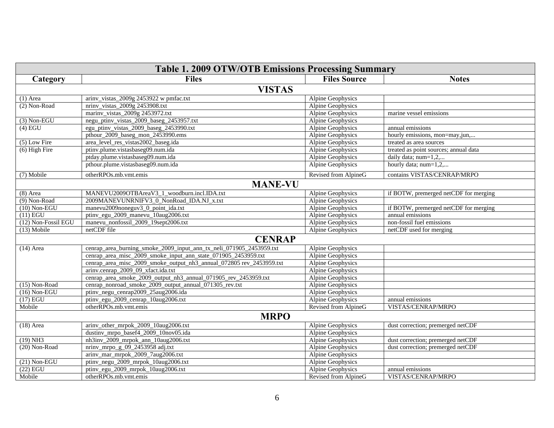| <b>Table 1. 2009 OTW/OTB Emissions Processing Summary</b> |                                                                      |                          |                                       |  |  |  |  |  |  |
|-----------------------------------------------------------|----------------------------------------------------------------------|--------------------------|---------------------------------------|--|--|--|--|--|--|
| Category                                                  | <b>Files</b>                                                         | <b>Files Source</b>      | <b>Notes</b>                          |  |  |  |  |  |  |
| <b>VISTAS</b>                                             |                                                                      |                          |                                       |  |  |  |  |  |  |
| $(1)$ Area                                                | arinv_vistas_2009g 2453922 w pmfac.txt                               | Alpine Geophysics        |                                       |  |  |  |  |  |  |
| (2) Non-Road                                              | nrinv_vistas_2009g 2453908.txt                                       | Alpine Geophysics        |                                       |  |  |  |  |  |  |
|                                                           | marinv_vistas_2009g 2453972.txt                                      | <b>Alpine Geophysics</b> | marine vessel emissions               |  |  |  |  |  |  |
| $(3)$ Non-EGU                                             | negu_ptinv_vistas_2009_baseg_2453957.txt                             | Alpine Geophysics        |                                       |  |  |  |  |  |  |
| $(4)$ EGU                                                 | egu_ptinv_vistas_2009_baseg_2453990.txt                              | Alpine Geophysics        | annual emissions                      |  |  |  |  |  |  |
|                                                           | pthour_2009_baseg_mon_2453990.ems                                    | Alpine Geophysics        | hourly emissions, mon=may,jun,        |  |  |  |  |  |  |
| $(5)$ Low Fire                                            | area_level_res_vistas2002_baseg.ida                                  | Alpine Geophysics        | treated as area sources               |  |  |  |  |  |  |
| $(6)$ High Fire                                           | ptinv.plume.vistasbaseg09.num.ida                                    | Alpine Geophysics        | treated as point sources; annual data |  |  |  |  |  |  |
|                                                           | ptday.plume.vistasbaseg09.num.ida                                    | Alpine Geophysics        | daily data; num=1,2,                  |  |  |  |  |  |  |
|                                                           | pthour.plume.vistasbaseg09.num.ida                                   | Alpine Geophysics        | hourly data; $num=1,2,$               |  |  |  |  |  |  |
| (7) Mobile                                                | otherRPOs.mb.vmt.emis                                                | Revised from AlpineG     | contains VISTAS/CENRAP/MRPO           |  |  |  |  |  |  |
|                                                           | <b>MANE-VU</b>                                                       |                          |                                       |  |  |  |  |  |  |
| $(8)$ Area                                                | MANEVU2009OTBAreaV3_1_woodburn.incl.IDA.txt                          | Alpine Geophysics        | if BOTW, premerged netCDF for merging |  |  |  |  |  |  |
| (9) Non-Road                                              | 2009MANEVUNRNIFV3_0_NonRoad_IDA.NJ_x.txt                             | <b>Alpine Geophysics</b> |                                       |  |  |  |  |  |  |
| $(10)$ Non-EGU                                            | manevu2009noneguv3_0_point_ida.txt                                   | <b>Alpine Geophysics</b> | if BOTW, premerged netCDF for merging |  |  |  |  |  |  |
| $(11)$ EGU                                                | ptinv_egu_2009_manevu_10aug2006.txt                                  | <b>Alpine Geophysics</b> | annual emissions                      |  |  |  |  |  |  |
| (12) Non-Fossil EGU                                       | manevu_nonfossil_2009_19sept2006.txt                                 | Alpine Geophysics        | non-fossil fuel emissions             |  |  |  |  |  |  |
| $(13)$ Mobile                                             | netCDF file                                                          | Alpine Geophysics        | netCDF used for merging               |  |  |  |  |  |  |
|                                                           | <b>CENRAP</b>                                                        |                          |                                       |  |  |  |  |  |  |
| $(14)$ Area                                               | cenrap_area_burning_smoke_2009_input_ann_tx_neli_071905_2453959.txt  | <b>Alpine Geophysics</b> |                                       |  |  |  |  |  |  |
|                                                           | cenrap_area_misc_2009_smoke_input_ann_state_071905_2453959.txt       | <b>Alpine Geophysics</b> |                                       |  |  |  |  |  |  |
|                                                           | cenrap_area_misc_2009_smoke_output_nh3_annual_072805 rev_2453959.txt | Alpine Geophysics        |                                       |  |  |  |  |  |  |
|                                                           | arinv.cenrap_2009_09_xfact.ida.txt                                   | Alpine Geophysics        |                                       |  |  |  |  |  |  |
|                                                           | cenrap_area_smoke_2009_output_nh3_annual_071905_rev_2453959.txt      | <b>Alpine Geophysics</b> |                                       |  |  |  |  |  |  |
| $(15)$ Non-Road                                           | cenrap_nonroad_smoke_2009_output_annual_071305_rev.txt               | Alpine Geophysics        |                                       |  |  |  |  |  |  |
| $(16)$ Non-EGU                                            | ptinv_negu_cenrap2009_25aug2006.ida                                  | <b>Alpine Geophysics</b> |                                       |  |  |  |  |  |  |
| $(17)$ EGU                                                | ptinv_egu_2009_cenrap_10aug2006.txt                                  | <b>Alpine Geophysics</b> | annual emissions                      |  |  |  |  |  |  |
| Mobile                                                    | otherRPOs.mb.vmt.emis                                                | Revised from AlpineG     | VISTAS/CENRAP/MRPO                    |  |  |  |  |  |  |
|                                                           | <b>MRPO</b>                                                          |                          |                                       |  |  |  |  |  |  |
| $(18)$ Area                                               | arinv_other_mrpok_2009_10aug2006.txt                                 | Alpine Geophysics        | dust correction; premerged netCDF     |  |  |  |  |  |  |
|                                                           | dustinv_mrpo_basef4_2009_10nov05.ida                                 | <b>Alpine Geophysics</b> |                                       |  |  |  |  |  |  |
| $(19)$ NH3                                                | nh3inv_2009_mrpok_ann_10aug2006.txt                                  | Alpine Geophysics        | dust correction; premerged netCDF     |  |  |  |  |  |  |
| (20) Non-Road                                             | nrinv_mrpo_g_09_2453958 adj.txt                                      | <b>Alpine Geophysics</b> | dust correction; premerged netCDF     |  |  |  |  |  |  |
|                                                           | arinv_mar_mrpok_2009_7aug2006.txt                                    | <b>Alpine Geophysics</b> |                                       |  |  |  |  |  |  |
| $(21)$ Non-EGU                                            | ptinv_negu_2009_mrpok_10aug2006.txt                                  | <b>Alpine Geophysics</b> |                                       |  |  |  |  |  |  |
| $(22)$ EGU                                                | ptinv_egu_2009_mrpok_10aug2006.txt                                   | <b>Alpine Geophysics</b> | annual emissions                      |  |  |  |  |  |  |
| Mobile                                                    | otherRPOs.mb.vmt.emis                                                | Revised from AlpineG     | <b>VISTAS/CENRAP/MRPO</b>             |  |  |  |  |  |  |